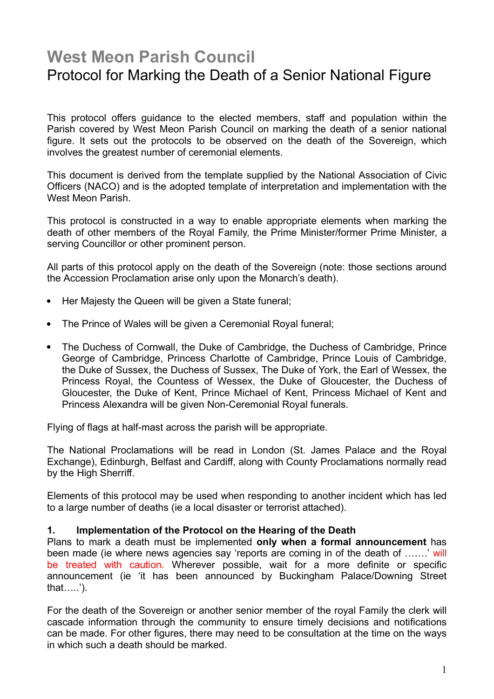# West Meon Parish Council Protocol for Marking the Death of a Senior National Figure

This protocol offers guidance to the elected members, staff and population within the Parish covered by West Meon Parish Council on marking the death of a senior national figure. It sets out the protocols to be observed on the death of the Sovereign, which involves the greatest number of ceremonial elements.

This document is derived from the template supplied by the National Association of Civic Officers (NACO) and is the adopted template of interpretation and implementation with the West Meon Parish.

This protocol is constructed in a way to enable appropriate elements when marking the death of other members of the Royal Family, the Prime Minister/former Prime Minister, a serving Councillor or other prominent person.

All parts of this protocol apply on the death of the Sovereign (note: those sections around the Accession Proclamation arise only upon the Monarch's death).

- Her Majesty the Queen will be given a State funeral;
- The Prince of Wales will be given a Ceremonial Royal funeral:
- The Duchess of Cornwall, the Duke of Cambridge, the Duchess of Cambridge, Prince George of Cambridge, Princess Charlotte of Cambridge, Prince Louis of Cambridge, the Duke of Sussex, the Duchess of Sussex, The Duke of York, the Earl of Wessex, the Princess Royal, the Countess of Wessex, the Duke of Gloucester, the Duchess of Gloucester, the Duke of Kent, Prince Michael of Kent, Princess Michael of Kent and Princess Alexandra will be given Non-Ceremonial Royal funerals.

Flying of flags at half-mast across the parish will be appropriate.

The National Proclamations will be read in London (St. James Palace and the Royal Exchange), Edinburgh, Belfast and Cardiff, along with County Proclamations normally read by the High Sherriff.

Elements of this protocol may be used when responding to another incident which has led to a large number of deaths (ie a local disaster or terrorist attached).

#### 1. Implementation of the Protocol on the Hearing of the Death

Plans to mark a death must be implemented only when a formal announcement has been made (ie where news agencies say 'reports are coming in of the death of …….' will be treated with caution. Wherever possible, wait for a more definite or specific announcement (ie 'it has been announced by Buckingham Palace/Downing Street that…..').

For the death of the Sovereign or another senior member of the royal Family the clerk will cascade information through the community to ensure timely decisions and notifications can be made. For other figures, there may need to be consultation at the time on the ways in which such a death should be marked.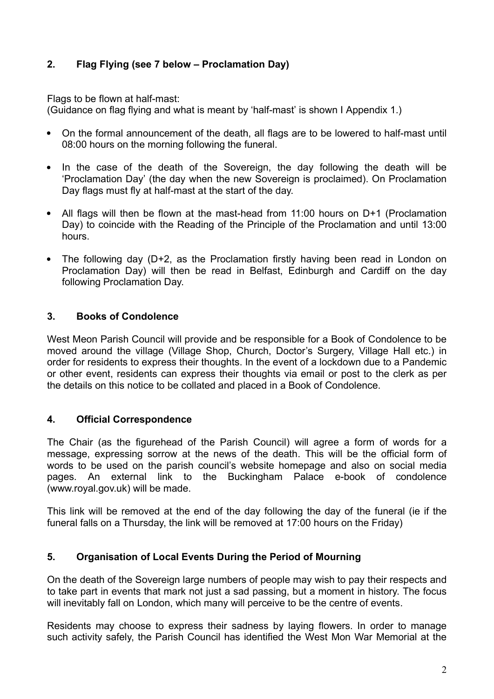# 2. Flag Flying (see 7 below – Proclamation Day)

Flags to be flown at half-mast:

(Guidance on flag flying and what is meant by 'half-mast' is shown I Appendix 1.)

- On the formal announcement of the death, all flags are to be lowered to half-mast until 08:00 hours on the morning following the funeral.
- In the case of the death of the Sovereign, the day following the death will be 'Proclamation Day' (the day when the new Sovereign is proclaimed). On Proclamation Day flags must fly at half-mast at the start of the day.
- All flags will then be flown at the mast-head from 11:00 hours on D+1 (Proclamation Day) to coincide with the Reading of the Principle of the Proclamation and until 13:00 hours.
- The following day (D+2, as the Proclamation firstly having been read in London on Proclamation Day) will then be read in Belfast, Edinburgh and Cardiff on the day following Proclamation Day.

## 3. Books of Condolence

West Meon Parish Council will provide and be responsible for a Book of Condolence to be moved around the village (Village Shop, Church, Doctor's Surgery, Village Hall etc.) in order for residents to express their thoughts. In the event of a lockdown due to a Pandemic or other event, residents can express their thoughts via email or post to the clerk as per the details on this notice to be collated and placed in a Book of Condolence.

## 4. Official Correspondence

The Chair (as the figurehead of the Parish Council) will agree a form of words for a message, expressing sorrow at the news of the death. This will be the official form of words to be used on the parish council's website homepage and also on social media pages. An external link to the Buckingham Palace e-book of condolence (www.royal.gov.uk) will be made.

This link will be removed at the end of the day following the day of the funeral (ie if the funeral falls on a Thursday, the link will be removed at 17:00 hours on the Friday)

#### 5. Organisation of Local Events During the Period of Mourning

On the death of the Sovereign large numbers of people may wish to pay their respects and to take part in events that mark not just a sad passing, but a moment in history. The focus will inevitably fall on London, which many will perceive to be the centre of events.

Residents may choose to express their sadness by laying flowers. In order to manage such activity safely, the Parish Council has identified the West Mon War Memorial at the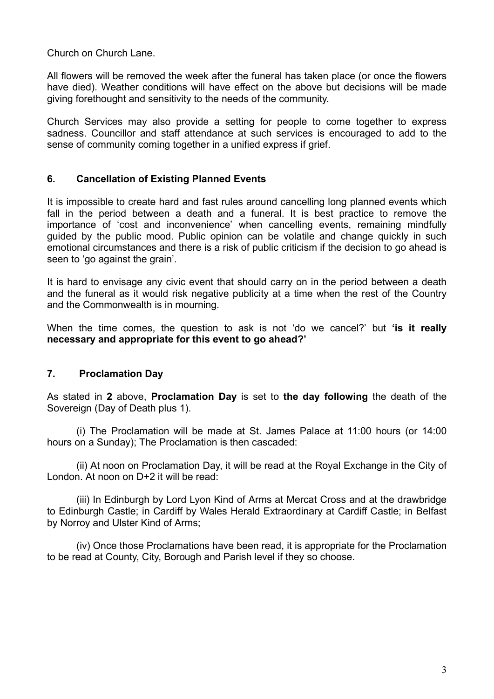Church on Church Lane.

All flowers will be removed the week after the funeral has taken place (or once the flowers have died). Weather conditions will have effect on the above but decisions will be made giving forethought and sensitivity to the needs of the community.

Church Services may also provide a setting for people to come together to express sadness. Councillor and staff attendance at such services is encouraged to add to the sense of community coming together in a unified express if grief.

## 6. Cancellation of Existing Planned Events

It is impossible to create hard and fast rules around cancelling long planned events which fall in the period between a death and a funeral. It is best practice to remove the importance of 'cost and inconvenience' when cancelling events, remaining mindfully guided by the public mood. Public opinion can be volatile and change quickly in such emotional circumstances and there is a risk of public criticism if the decision to go ahead is seen to 'go against the grain'.

It is hard to envisage any civic event that should carry on in the period between a death and the funeral as it would risk negative publicity at a time when the rest of the Country and the Commonwealth is in mourning.

When the time comes, the question to ask is not 'do we cancel?' but 'is it really necessary and appropriate for this event to go ahead?'

## 7. Proclamation Day

As stated in 2 above, Proclamation Day is set to the day following the death of the Sovereign (Day of Death plus 1).

(i) The Proclamation will be made at St. James Palace at 11:00 hours (or 14:00 hours on a Sunday); The Proclamation is then cascaded:

(ii) At noon on Proclamation Day, it will be read at the Royal Exchange in the City of London. At noon on D+2 it will be read:

(iii) In Edinburgh by Lord Lyon Kind of Arms at Mercat Cross and at the drawbridge to Edinburgh Castle; in Cardiff by Wales Herald Extraordinary at Cardiff Castle; in Belfast by Norroy and Ulster Kind of Arms;

(iv) Once those Proclamations have been read, it is appropriate for the Proclamation to be read at County, City, Borough and Parish level if they so choose.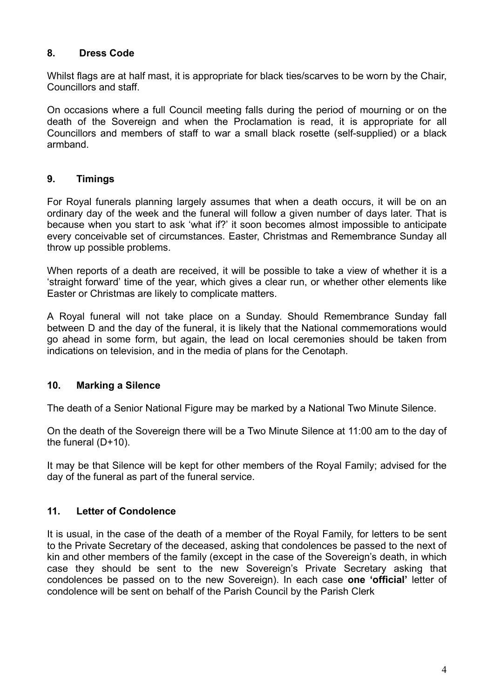# 8. Dress Code

Whilst flags are at half mast, it is appropriate for black ties/scarves to be worn by the Chair, Councillors and staff.

On occasions where a full Council meeting falls during the period of mourning or on the death of the Sovereign and when the Proclamation is read, it is appropriate for all Councillors and members of staff to war a small black rosette (self-supplied) or a black armband.

# 9. Timings

For Royal funerals planning largely assumes that when a death occurs, it will be on an ordinary day of the week and the funeral will follow a given number of days later. That is because when you start to ask 'what if?' it soon becomes almost impossible to anticipate every conceivable set of circumstances. Easter, Christmas and Remembrance Sunday all throw up possible problems.

When reports of a death are received, it will be possible to take a view of whether it is a 'straight forward' time of the year, which gives a clear run, or whether other elements like Easter or Christmas are likely to complicate matters.

A Royal funeral will not take place on a Sunday. Should Remembrance Sunday fall between D and the day of the funeral, it is likely that the National commemorations would go ahead in some form, but again, the lead on local ceremonies should be taken from indications on television, and in the media of plans for the Cenotaph.

## 10. Marking a Silence

The death of a Senior National Figure may be marked by a National Two Minute Silence.

On the death of the Sovereign there will be a Two Minute Silence at 11:00 am to the day of the funeral (D+10).

It may be that Silence will be kept for other members of the Royal Family; advised for the day of the funeral as part of the funeral service.

## 11. Letter of Condolence

It is usual, in the case of the death of a member of the Royal Family, for letters to be sent to the Private Secretary of the deceased, asking that condolences be passed to the next of kin and other members of the family (except in the case of the Sovereign's death, in which case they should be sent to the new Sovereign's Private Secretary asking that condolences be passed on to the new Sovereign). In each case one 'official' letter of condolence will be sent on behalf of the Parish Council by the Parish Clerk